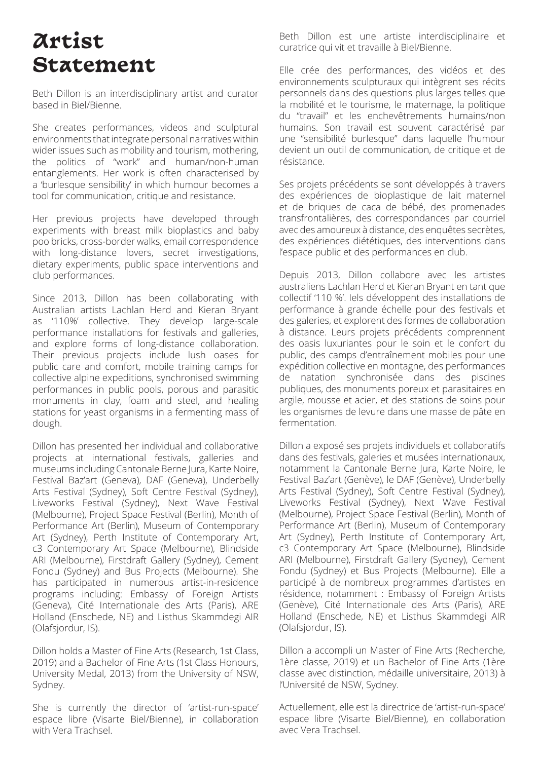# **Artist Statement**

Beth Dillon is an interdisciplinary artist and curator based in Biel/Bienne.

She creates performances, videos and sculptural environments that integrate personal narratives within wider issues such as mobility and tourism, mothering, the politics of "work" and human/non-human entanglements. Her work is often characterised by a 'burlesque sensibility' in which humour becomes a tool for communication, critique and resistance.

Her previous projects have developed through experiments with breast milk bioplastics and baby poo bricks, cross-border walks, email correspondence with long-distance lovers, secret investigations, dietary experiments, public space interventions and club performances.

Since 2013, Dillon has been collaborating with Australian artists Lachlan Herd and Kieran Bryant as '110%' collective. They develop large-scale performance installations for festivals and galleries, and explore forms of long-distance collaboration. Their previous projects include lush oases for public care and comfort, mobile training camps for collective alpine expeditions, synchronised swimming performances in public pools, porous and parasitic monuments in clay, foam and steel, and healing stations for yeast organisms in a fermenting mass of dough.

Dillon has presented her individual and collaborative projects at international festivals, galleries and museums including Cantonale Berne Jura, Karte Noire, Festival Baz'art (Geneva), DAF (Geneva), Underbelly Arts Festival (Sydney), Soft Centre Festival (Sydney), Liveworks Festival (Sydney), Next Wave Festival (Melbourne), Project Space Festival (Berlin), Month of Performance Art (Berlin), Museum of Contemporary Art (Sydney), Perth Institute of Contemporary Art, c3 Contemporary Art Space (Melbourne), Blindside ARI (Melbourne), Firstdraft Gallery (Sydney), Cement Fondu (Sydney) and Bus Projects (Melbourne). She has participated in numerous artist-in-residence programs including: Embassy of Foreign Artists (Geneva), Cité Internationale des Arts (Paris), ARE Holland (Enschede, NE) and Listhus Skammdegi AIR (Olafsjordur, IS).

Dillon holds a Master of Fine Arts (Research, 1st Class, 2019) and a Bachelor of Fine Arts (1st Class Honours, University Medal, 2013) from the University of NSW, Sydney.

She is currently the director of 'artist-run-space' espace libre (Visarte Biel/Bienne), in collaboration with Vera Trachsel.

Beth Dillon est une artiste interdisciplinaire et curatrice qui vit et travaille à Biel/Bienne.

Elle crée des performances, des vidéos et des environnements sculpturaux qui intègrent ses récits personnels dans des questions plus larges telles que la mobilité et le tourisme, le maternage, la politique du "travail" et les enchevêtrements humains/non humains. Son travail est souvent caractérisé par une "sensibilité burlesque" dans laquelle l'humour devient un outil de communication, de critique et de résistance.

Ses projets précédents se sont développés à travers des expériences de bioplastique de lait maternel et de briques de caca de bébé, des promenades transfrontalières, des correspondances par courriel avec des amoureux à distance, des enquêtes secrètes, des expériences diététiques, des interventions dans l'espace public et des performances en club.

Depuis 2013, Dillon collabore avec les artistes australiens Lachlan Herd et Kieran Bryant en tant que collectif '110 %'. Iels développent des installations de performance à grande échelle pour des festivals et des galeries, et explorent des formes de collaboration à distance. Leurs projets précédents comprennent des oasis luxuriantes pour le soin et le confort du public, des camps d'entraînement mobiles pour une expédition collective en montagne, des performances de natation synchronisée dans des piscines publiques, des monuments poreux et parasitaires en argile, mousse et acier, et des stations de soins pour les organismes de levure dans une masse de pâte en fermentation.

Dillon a exposé ses projets individuels et collaboratifs dans des festivals, galeries et musées internationaux, notamment la Cantonale Berne Jura, Karte Noire, le Festival Baz'art (Genève), le DAF (Genève), Underbelly Arts Festival (Sydney), Soft Centre Festival (Sydney), Liveworks Festival (Sydney), Next Wave Festival (Melbourne), Project Space Festival (Berlin), Month of Performance Art (Berlin), Museum of Contemporary Art (Sydney), Perth Institute of Contemporary Art, c3 Contemporary Art Space (Melbourne), Blindside ARI (Melbourne), Firstdraft Gallery (Sydney), Cement Fondu (Sydney) et Bus Projects (Melbourne). Elle a participé à de nombreux programmes d'artistes en résidence, notamment : Embassy of Foreign Artists (Genève), Cité Internationale des Arts (Paris), ARE Holland (Enschede, NE) et Listhus Skammdegi AIR (Olafsjordur, IS).

Dillon a accompli un Master of Fine Arts (Recherche, 1ère classe, 2019) et un Bachelor of Fine Arts (1ère classe avec distinction, médaille universitaire, 2013) à l'Université de NSW, Sydney.

Actuellement, elle est la directrice de 'artist-run-space' espace libre (Visarte Biel/Bienne), en collaboration avec Vera Trachsel.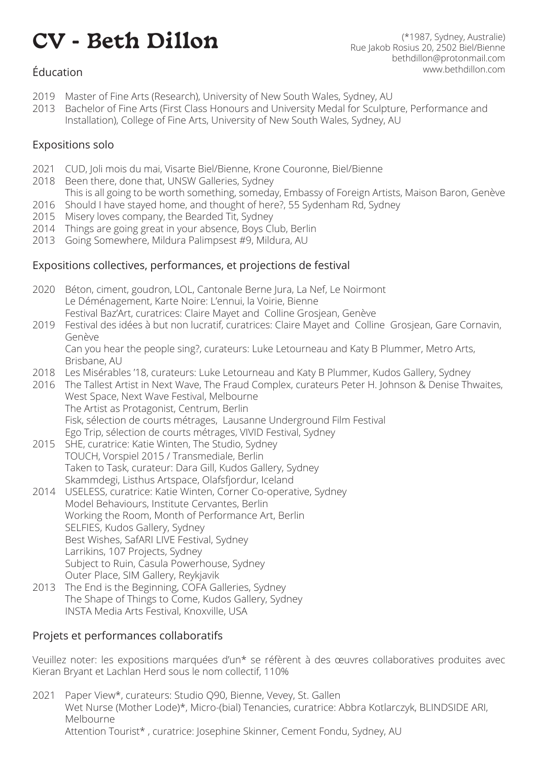# **CV - Beth Dillon** (\*1987, Sydney, Australie)

Rue Jakob Rosius 20, 2502 Biel/Bienne bethdillon@protonmail.com www.bethdillon.com

## Éducation

- 2019 Master of Fine Arts (Research), University of New South Wales, Sydney, AU
- 2013 Bachelor of Fine Arts (First Class Honours and University Medal for Sculpture, Performance and Installation), College of Fine Arts, University of New South Wales, Sydney, AU

### Expositions solo

- 2021 CUD, Joli mois du mai, Visarte Biel/Bienne, Krone Couronne, Biel/Bienne
- 2018 Been there, done that, UNSW Galleries, Sydney
- This is all going to be worth something, someday, Embassy of Foreign Artists, Maison Baron, Genève 2016 Should I have stayed home, and thought of here?, 55 Sydenham Rd, Sydney
- 2015 Misery loves company, the Bearded Tit, Sydney
- 2014 Things are going great in your absence, Boys Club, Berlin
- 2013 Going Somewhere, Mildura Palimpsest #9, Mildura, AU

#### Expositions collectives, performances, et projections de festival

- 2020 Béton, ciment, goudron, LOL, Cantonale Berne Jura, La Nef, Le Noirmont Le Déménagement, Karte Noire: L'ennui, la Voirie, Bienne Festival Baz'Art, curatrices: Claire Mayet and Colline Grosjean, Genève 2019 Festival des idées à but non lucratif, curatrices: Claire Mayet and Colline Grosjean, Gare Cornavin, Genève Can you hear the people sing?, curateurs: Luke Letourneau and Katy B Plummer, Metro Arts, Brisbane, AU 2018 Les Misérables '18, curateurs: Luke Letourneau and Katy B Plummer, Kudos Gallery, Sydney 2016 The Tallest Artist in Next Wave, The Fraud Complex, curateurs Peter H. Johnson & Denise Thwaites, West Space, Next Wave Festival, Melbourne The Artist as Protagonist, Centrum, Berlin Fisk, sélection de courts métrages, Lausanne Underground Film Festival Ego Trip, sélection de courts métrages, VIVID Festival, Sydney 2015 SHE, curatrice: Katie Winten, The Studio, Sydney TOUCH, Vorspiel 2015 / Transmediale, Berlin Taken to Task, curateur: Dara Gill, Kudos Gallery, Sydney Skammdegi, Listhus Artspace, Olafsfjordur, Iceland 2014 USELESS, curatrice: Katie Winten, Corner Co-operative, Sydney Model Behaviours, Institute Cervantes, Berlin Working the Room, Month of Performance Art, Berlin SELFIES, Kudos Gallery, Sydney Best Wishes, SafARI LIVE Festival, Sydney Larrikins, 107 Projects, Sydney
	- Subject to Ruin, Casula Powerhouse, Sydney Outer Place, SIM Gallery, Reykjavik
- 2013 The End is the Beginning, COFA Galleries, Sydney The Shape of Things to Come, Kudos Gallery, Sydney INSTA Media Arts Festival, Knoxville, USA

#### Projets et performances collaboratifs

Veuillez noter: les expositions marquées d'un\* se réfèrent à des œuvres collaboratives produites avec Kieran Bryant et Lachlan Herd sous le nom collectif, 110%

2021 Paper View\*, curateurs: Studio Q90, Bienne, Vevey, St. Gallen Wet Nurse (Mother Lode)\*, Micro-(bial) Tenancies, curatrice: Abbra Kotlarczyk, BLINDSIDE ARI, Melbourne Attention Tourist\* , curatrice: Josephine Skinner, Cement Fondu, Sydney, AU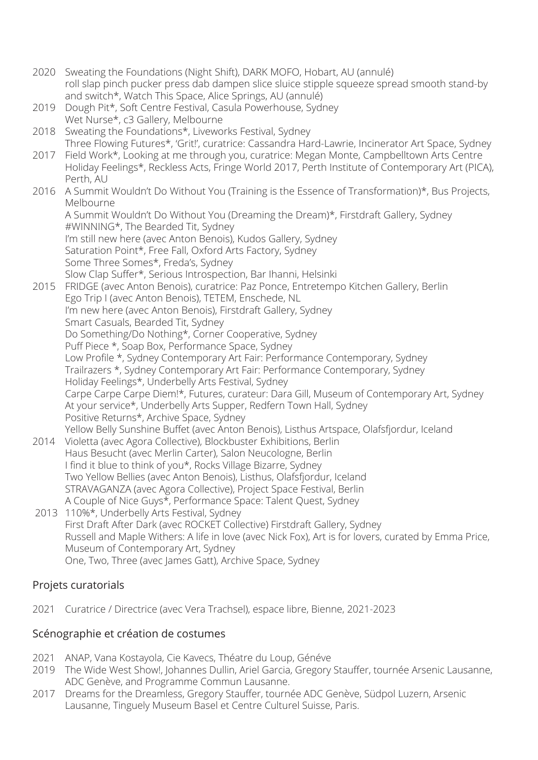- 2020 Sweating the Foundations (Night Shift), DARK MOFO, Hobart, AU (annulé) roll slap pinch pucker press dab dampen slice sluice stipple squeeze spread smooth stand-by and switch\*, Watch This Space, Alice Springs, AU (annulé)
- 2019 Dough Pit\*, Soft Centre Festival, Casula Powerhouse, Sydney Wet Nurse\*, c3 Gallery, Melbourne
- 2018 Sweating the Foundations\*, Liveworks Festival, Sydney Three Flowing Futures\*, 'Grit!', curatrice: Cassandra Hard-Lawrie, Incinerator Art Space, Sydney
- 2017 Field Work\*, Looking at me through you, curatrice: Megan Monte, Campbelltown Arts Centre Holiday Feelings\*, Reckless Acts, Fringe World 2017, Perth Institute of Contemporary Art (PICA), Perth, AU
- 2016 A Summit Wouldn't Do Without You (Training is the Essence of Transformation)\*, Bus Projects, Melbourne

A Summit Wouldn't Do Without You (Dreaming the Dream)\*, Firstdraft Gallery, Sydney #WINNING\*, The Bearded Tit, Sydney I'm still new here (avec Anton Benois), Kudos Gallery, Sydney Saturation Point\*, Free Fall, Oxford Arts Factory, Sydney Some Three Somes\*, Freda's, Sydney Slow Clap Suffer\*, Serious Introspection, Bar Ihanni, Helsinki

- 2015 FRIDGE (avec Anton Benois), curatrice: Paz Ponce, Entretempo Kitchen Gallery, Berlin Ego Trip I (avec Anton Benois), TETEM, Enschede, NL I'm new here (avec Anton Benois), Firstdraft Gallery, Sydney Smart Casuals, Bearded Tit, Sydney Do Something/Do Nothing\*, Corner Cooperative, Sydney Puff Piece \*, Soap Box, Performance Space, Sydney Low Profle \*, Sydney Contemporary Art Fair: Performance Contemporary, Sydney Trailrazers \*, Sydney Contemporary Art Fair: Performance Contemporary, Sydney Holiday Feelings\*, Underbelly Arts Festival, Sydney Carpe Carpe Carpe Diem!\*, Futures, curateur: Dara Gill, Museum of Contemporary Art, Sydney At your service\*, Underbelly Arts Supper, Redfern Town Hall, Sydney Positive Returns\*, Archive Space, Sydney Yellow Belly Sunshine Buffet (avec Anton Benois), Listhus Artspace, Olafsfjordur, Iceland 2014 Violetta (avec Agora Collective), Blockbuster Exhibitions, Berlin
- Haus Besucht (avec Merlin Carter), Salon Neucologne, Berlin I find it blue to think of you\*, Rocks Village Bizarre, Sydney Two Yellow Bellies (avec Anton Benois), Listhus, Olafsfjordur, Iceland STRAVAGANZA (avec Agora Collective), Project Space Festival, Berlin A Couple of Nice Guys\*, Performance Space: Talent Quest, Sydney
- 2013 110%\*, Underbelly Arts Festival, Sydney First Draft After Dark (avec ROCKET Collective) Firstdraft Gallery, Sydney Russell and Maple Withers: A life in love (avec Nick Fox), Art is for lovers, curated by Emma Price, Museum of Contemporary Art, Sydney One, Two, Three (avec James Gatt), Archive Space, Sydney

# Projets curatorials

2021 Curatrice / Directrice (avec Vera Trachsel), espace libre, Bienne, 2021-2023

#### Scénographie et création de costumes

- 2021 ANAP, Vana Kostayola, Cie Kavecs, Théatre du Loup, Généve
- 2019 The Wide West Show!, Johannes Dullin, Ariel Garcia, Gregory Stauffer, tournée Arsenic Lausanne, ADC Genève, and Programme Commun Lausanne.
- 2017 Dreams for the Dreamless, Gregory Stauffer, tournée ADC Genève, Südpol Luzern, Arsenic Lausanne, Tinguely Museum Basel et Centre Culturel Suisse, Paris.